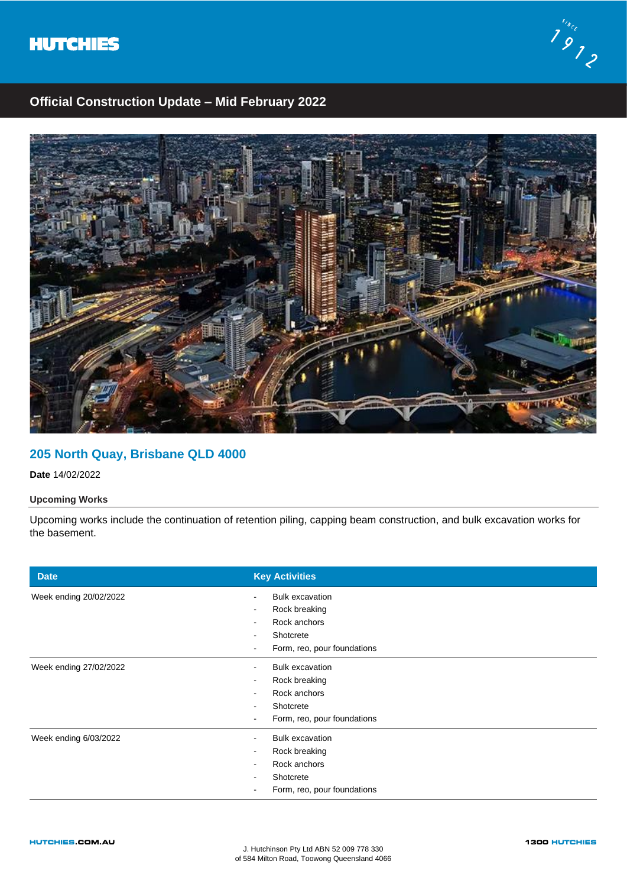



# **Official Construction Update – Mid February 2022**



### **205 North Quay, Brisbane QLD 4000**

**Date** 14/02/2022

### **Upcoming Works**

Upcoming works include the continuation of retention piling, capping beam construction, and bulk excavation works for the basement.

| <b>Date</b>            | <b>Key Activities</b>                                                                                         |
|------------------------|---------------------------------------------------------------------------------------------------------------|
| Week ending 20/02/2022 | <b>Bulk excavation</b><br>Rock breaking<br>$\sim$<br>Rock anchors<br>Shotcrete<br>Form, reo, pour foundations |
| Week ending 27/02/2022 | <b>Bulk excavation</b><br>Rock breaking<br>Rock anchors<br>Shotcrete<br>Form, reo, pour foundations           |
| Week ending 6/03/2022  | <b>Bulk excavation</b><br>Rock breaking<br>Rock anchors<br>Shotcrete<br>Form, reo, pour foundations           |